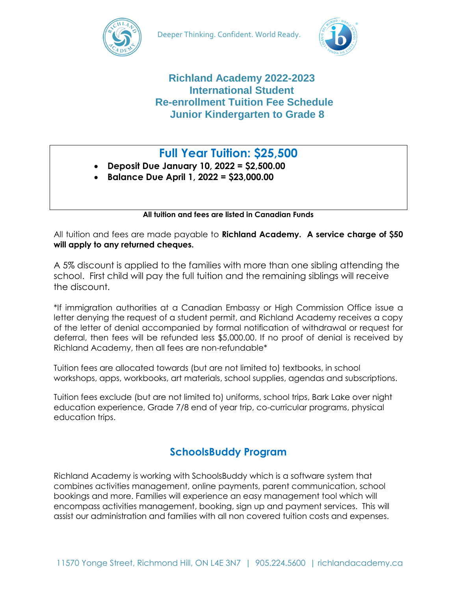



### **Richland Academy 2022-2023 International Student Re-enrollment Tuition Fee Schedule Junior Kindergarten to Grade 8**

# **Full Year Tuition: \$25,500**

- **Deposit Due January 10, 2022 = \$2,500.00**
- **Balance Due April 1, 2022 = \$23,000.00**

**All tuition and fees are listed in Canadian Funds**

All tuition and fees are made payable to **Richland Academy. A service charge of \$50 will apply to any returned cheques.**

A 5% discount is applied to the families with more than one sibling attending the school. First child will pay the full tuition and the remaining siblings will receive the discount.

\*If immigration authorities at a Canadian Embassy or High Commission Office issue a letter denying the request of a student permit, and Richland Academy receives a copy of the letter of denial accompanied by formal notification of withdrawal or request for deferral, then fees will be refunded less \$5,000.00. If no proof of denial is received by Richland Academy, then all fees are non-refundable\*

Tuition fees are allocated towards (but are not limited to) textbooks, in school workshops, apps, workbooks, art materials, school supplies, agendas and subscriptions.

Tuition fees exclude (but are not limited to) uniforms, school trips, Bark Lake over night education experience, Grade 7/8 end of year trip, co-curricular programs, physical education trips.

## **SchoolsBuddy Program**

Richland Academy is working with SchoolsBuddy which is a software system that combines activities management, online payments, parent communication, school bookings and more. Families will experience an easy management tool which will encompass activities management, booking, sign up and payment services. This will assist our administration and families with all non covered tuition costs and expenses.